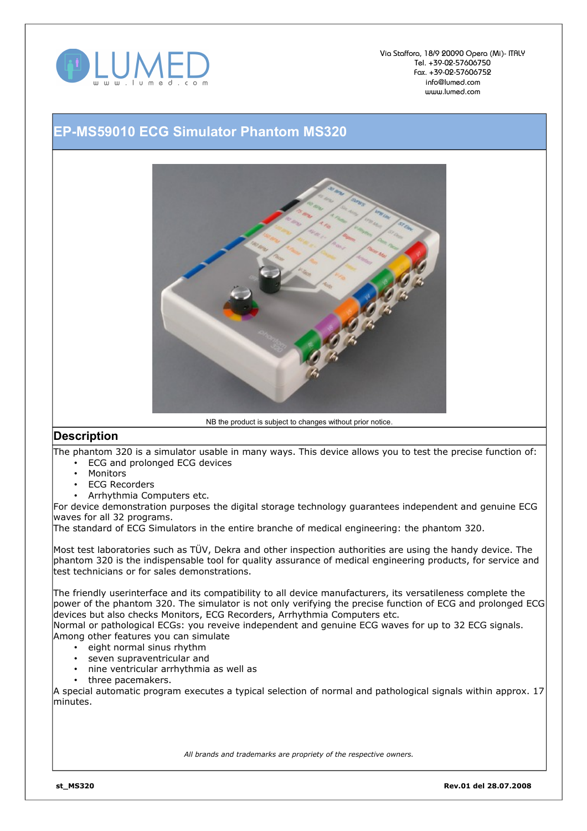

Via Staffora, 18/9 20090 Opera (Mi)- ITALY Tel. +39-02-57606750 Fax. +39-02-57606752 info@lumed.com www.lumed.com

## **EP-MS59010 ECG Simulator Phantom MS320**



NB the product is subject to changes without prior notice.

## **Description**

The phantom 320 is a simulator usable in many ways. This device allows you to test the precise function of: • ECG and prolonged ECG devices

- **Monitors**
- **ECG Recorders**
- Arrhythmia Computers etc.

For device demonstration purposes the digital storage technology guarantees independent and genuine ECG waves for all 32 programs.

The standard of ECG Simulators in the entire branche of medical engineering: the phantom 320.

Most test laboratories such as TÜV, Dekra and other inspection authorities are using the handy device. The phantom 320 is the indispensable tool for quality assurance of medical engineering products, for service and test technicians or for sales demonstrations.

The friendly userinterface and its compatibility to all device manufacturers, its versatileness complete the power of the phantom 320. The simulator is not only verifying the precise function of ECG and prolonged ECG devices but also checks Monitors, ECG Recorders, Arrhythmia Computers etc.

Normal or pathological ECGs: you reveive independent and genuine ECG waves for up to 32 ECG signals. Among other features you can simulate

- eight normal sinus rhythm
- seven supraventricular and
- nine ventricular arrhythmia as well as
- three pacemakers.

A special automatic program executes a typical selection of normal and pathological signals within approx. 17 minutes.

*All brands and trademarks are propriety of the respective owners.*